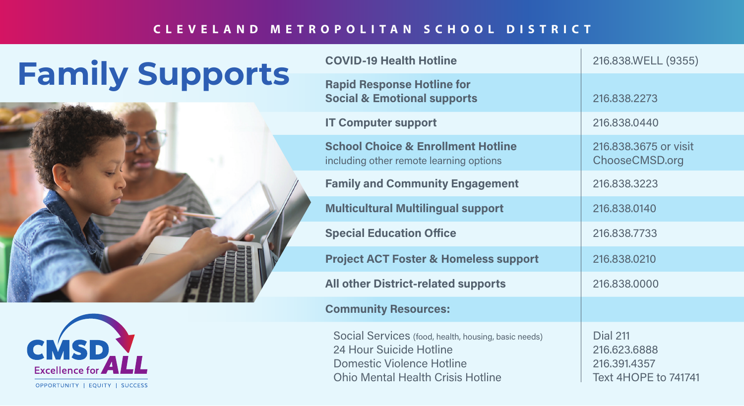## **CLEVELAND METROPOLITAN SCHOOL DISTRICT**

## **Family Supports**





| <b>COVID-19 Health Hotline</b>                                                                                                                                  | 216.838.WELL (9355)                                                            |
|-----------------------------------------------------------------------------------------------------------------------------------------------------------------|--------------------------------------------------------------------------------|
| <b>Rapid Response Hotline for</b><br><b>Social &amp; Emotional supports</b>                                                                                     | 216,838,2273                                                                   |
| <b>IT Computer support</b>                                                                                                                                      | 216.838.0440                                                                   |
| <b>School Choice &amp; Enrollment Hotline</b><br>including other remote learning options                                                                        | 216,838,3675 or visit<br>ChooseCMSD.org                                        |
| <b>Family and Community Engagement</b>                                                                                                                          | 216,838,3223                                                                   |
| <b>Multicultural Multilingual support</b>                                                                                                                       | 216.838.0140                                                                   |
| <b>Special Education Office</b>                                                                                                                                 | 216.838.7733                                                                   |
| <b>Project ACT Foster &amp; Homeless support</b>                                                                                                                | 216,838,0210                                                                   |
| <b>All other District-related supports</b>                                                                                                                      | 216.838.0000                                                                   |
| <b>Community Resources:</b>                                                                                                                                     |                                                                                |
| Social Services (food, health, housing, basic needs)<br>24 Hour Suicide Hotline<br><b>Domestic Violence Hotline</b><br><b>Ohio Mental Health Crisis Hotline</b> | <b>Dial 211</b><br>216,623,6888<br>216.391.4357<br><b>Text 4HOPE to 741741</b> |